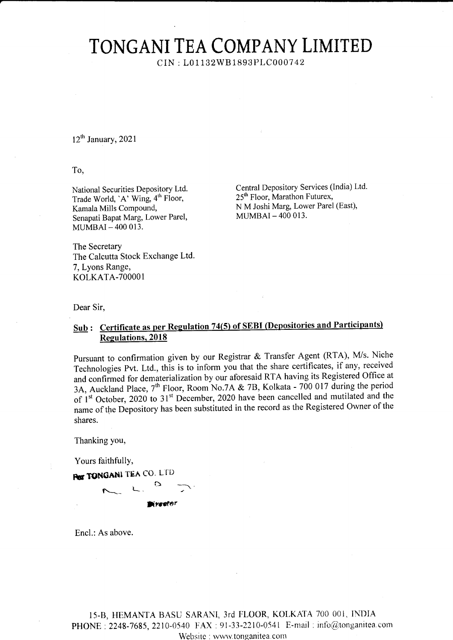## TONGANI TEA COMPANY LIMITED

CIN: L01132WB1893PLC000742

 $12^{th}$  January, 2021

To,

National Securities Depository Ltd. Trade World, 'A' Wing, 4<sup>th</sup> Floor, Kamala Mills Compound, Senapati Bapat Marg, Lower Parel, MUMBAI-400 013.

Central Depository Services (India) Ltd. 25<sup>th</sup> Floor, Marathon Futurex, N M Joshi Marg, Lower Parel (East), MUMBAI-400 013.

The Secretary The Calcutta Stock Exchange Ltd. 7, Lyons Range, KOLKATA-700001

Dear Sir,

## Sub: Certificate as per Regulation 74(5) of SEBI (Depositories and Participants) **Regulations**, 2018

Pursuant to confirmation given by our Registrar & Transfer Agent (RTA), M/s. Niche Technologies Pvt. Ltd., this is to inform you that the share certificates, if any, received and confirmed for dematerialization by our aforesaid RTA having its Registered Office at 3A, Auckland Place,  $7^{\text{th}}$  Floor, Room No.7A & 7B, Kolkata - 700 017 during the period<br>of 1<sup>st</sup> October, 2020 to 31<sup>st</sup> December, 2020 have been cancelled and mutilated and the name of the Depository has been substituted in the record as the Registered Owner of the shares.

Thanking you,

Yours faithfully,

**POT TONGANI TEA CO. LTD** 

Encl.: As above.